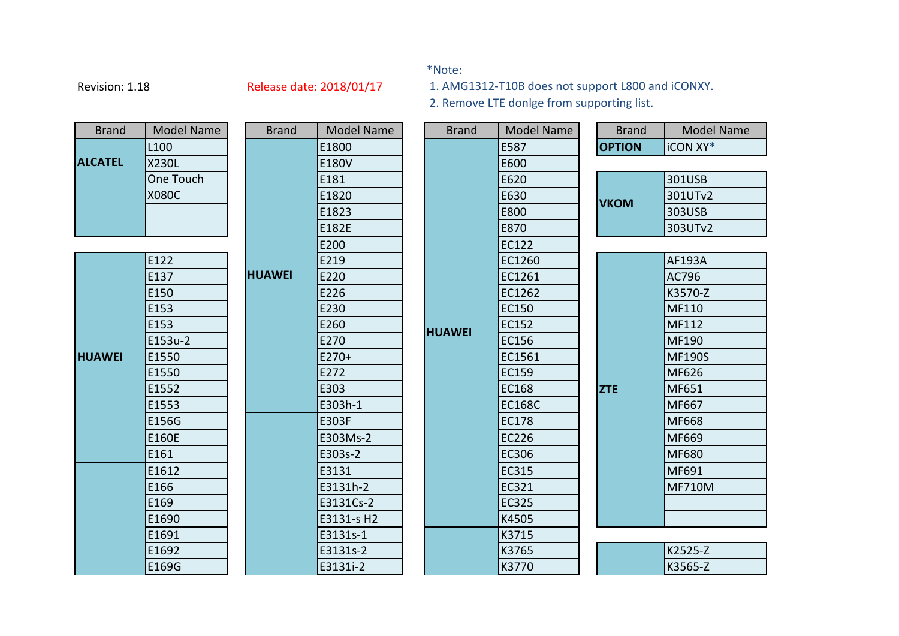## \*Note:

Revision: 1.18 Release date: 2018/01/17

1. AMG1312-T10B does not support L800 and iCONXY.

2. Remove LTE donlge from supporting list.

| <b>Brand</b>   | <b>Model Name</b> | <b>Brand</b>  | <b>Model Name</b> |  | <b>Brand</b>  | <b>Model Name</b> |               | <b>Brand</b> | <b>Model Name</b> |
|----------------|-------------------|---------------|-------------------|--|---------------|-------------------|---------------|--------------|-------------------|
|                | L <sub>100</sub>  |               | E1800             |  |               | E587              | <b>OPTION</b> |              | iCON XY*          |
| <b>ALCATEL</b> | X230L             |               | E180V             |  |               | E600              |               |              |                   |
|                | One Touch         |               | E181              |  |               | E620              |               |              | 301USB            |
|                | <b>X080C</b>      |               | E1820             |  |               | E630              | <b>VKOM</b>   |              | 301UTv2           |
|                |                   |               | E1823             |  |               | E800              |               |              | 303USB            |
|                |                   |               | E182E             |  |               | E870              |               |              | 303UTv2           |
|                |                   |               | E200              |  |               | <b>EC122</b>      |               |              |                   |
|                | E122              |               | E219              |  |               | EC1260            |               |              | <b>AF193A</b>     |
|                | E137              | <b>HUAWEI</b> | E220              |  |               | EC1261            |               |              | AC796             |
|                | E150              |               | E226              |  |               | EC1262            |               |              | K3570-Z           |
|                | E153              |               | E230              |  |               | <b>EC150</b>      |               |              | MF110             |
|                | E153              |               | E260              |  | <b>HUAWEI</b> | EC152             |               |              | MF112             |
|                | E153u-2           |               | E270              |  |               | <b>EC156</b>      |               |              | MF190             |
| <b>HUAWEI</b>  | E1550             |               | $E270+$           |  |               | EC1561            |               |              | <b>MF190S</b>     |
|                | E1550             |               | E272              |  |               | <b>EC159</b>      |               |              | MF626             |
|                | E1552             |               | E303              |  |               | EC168             | <b>ZTE</b>    |              | MF651             |
|                | E1553             |               | E303h-1           |  |               | <b>EC168C</b>     |               |              | MF667             |
|                | E156G             |               | E303F             |  |               | <b>EC178</b>      |               |              | MF668             |
|                | E160E             |               | E303Ms-2          |  |               | <b>EC226</b>      |               |              | MF669             |
|                | E161              |               | E303s-2           |  |               | <b>EC306</b>      |               |              | MF680             |
|                | E1612             |               | E3131             |  |               | <b>EC315</b>      |               |              | MF691             |
|                | E166              |               | E3131h-2          |  |               | <b>EC321</b>      |               |              | <b>MF710M</b>     |
|                | E169              |               | E3131Cs-2         |  |               | <b>EC325</b>      |               |              |                   |
|                | E1690             |               | E3131-s H2        |  |               | K4505             |               |              |                   |
|                | E1691             |               | E3131s-1          |  |               | K3715             |               |              |                   |
|                | E1692             |               | E3131s-2          |  |               | K3765             |               |              | K2525-Z           |
|                | E169G             |               | E3131i-2          |  |               | K3770             |               |              | K3565-Z           |